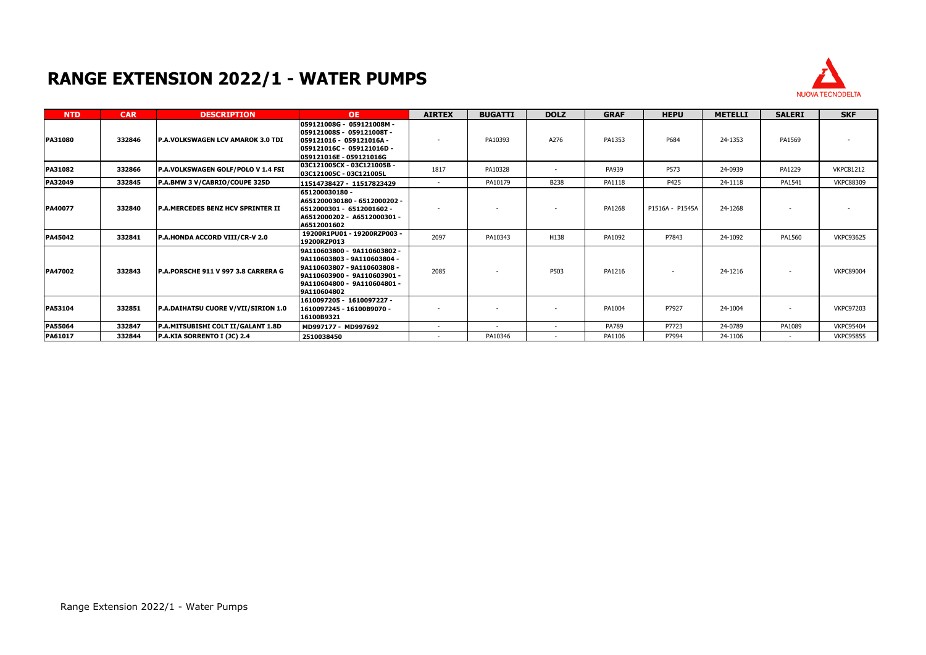## **RANGE EXTENSION 2022/1 - WATER PUMPS**



| <b>NTD</b>     | <b>CAR</b> | <b>DESCRIPTION</b>                         | OE.                                                                                                                                                                     | <b>AIRTEX</b> | <b>BUGATTI</b>           | <b>DOLZ</b> | <b>GRAF</b> | <b>HEPU</b>     | <b>METELLI</b> | <b>SALERI</b>            | <b>SKF</b>       |
|----------------|------------|--------------------------------------------|-------------------------------------------------------------------------------------------------------------------------------------------------------------------------|---------------|--------------------------|-------------|-------------|-----------------|----------------|--------------------------|------------------|
| <b>PA31080</b> | 332846     | <b>IP.A.VOLKSWAGEN LCV AMAROK 3.0 TDI</b>  | 059121008G - 059121008M -<br>059121008S - 059121008T -<br> 059121016 - 059121016A -<br>059121016C - 059121016D -<br>059121016E - 059121016G                             |               | PA10393                  | A276        | PA1353      | P684            | 24-1353        | PA1569                   |                  |
| PA31082        | 332866     | P.A.VOLKSWAGEN GOLF/POLO V 1.4 FSI         | 03C121005CX - 03C121005B -<br>03C121005C - 03C121005L                                                                                                                   | 1817          | PA10328                  | ٠           | PA939       | P573            | 24-0939        | PA1229                   | <b>VKPC81212</b> |
| PA32049        | 332845     | P.A.BMW 3 V/CABRIO/COUPE 325D              | 11514738427 - 11517823429                                                                                                                                               | $\sim$        | PA10179                  | B238        | PA1118      | P425            | 24-1118        | PA1541                   | <b>VKPC88309</b> |
| PA40077        | 332840     | <b>P.A.MERCEDES BENZ HCV SPRINTER II</b>   | 651200030180 -<br>A651200030180 - 6512000202 -<br>6512000301 - 6512001602 -<br> A6512000202 - A6512000301 -<br>A6512001602                                              |               |                          |             | PA1268      | P1516A - P1545A | 24-1268        |                          |                  |
| PA45042        | 332841     | <b>P.A.HONDA ACCORD VIII/CR-V 2.0</b>      | 19200R1PU01 - 19200RZP003 -<br>19200RZP013                                                                                                                              | 2097          | PA10343                  | H138        | PA1092      | P7843           | 24-1092        | PA1560                   | <b>VKPC93625</b> |
| PA47002        | 332843     | P.A.PORSCHE 911 V 997 3.8 CARRERA G        | 9A110603800 - 9A110603802 -<br>9A110603803 - 9A110603804 -<br>9A110603807 - 9A110603808 -<br> 9A110603900 - 9A110603901 -<br>9A110604800 - 9A110604801 -<br>9A110604802 | 2085          | $\overline{\phantom{a}}$ | P503        | PA1216      |                 | 24-1216        | $\overline{\phantom{a}}$ | <b>VKPC89004</b> |
| <b>PA53104</b> | 332851     | <b>P.A.DAIHATSU CUORE V/VII/SIRION 1.0</b> | 1610097205 - 1610097227 -<br> 1610097245 - 16100B9070 -<br>16100B9321                                                                                                   |               |                          |             | PA1004      | P7927           | 24-1004        |                          | <b>VKPC97203</b> |
| PA55064        | 332847     | P.A.MITSUBISHI COLT II/GALANT 1.8D         | MD997177 - MD997692                                                                                                                                                     | $\sim$        | $\overline{\phantom{a}}$ | $\sim$      | PA789       | P7723           | 24-0789        | PA1089                   | <b>VKPC95404</b> |
| PA61017        | 332844     | P.A.KIA SORRENTO I (JC) 2.4                | 2510038450                                                                                                                                                              |               | PA10346                  |             | PA1106      | P7994           | 24-1106        |                          | <b>VKPC95855</b> |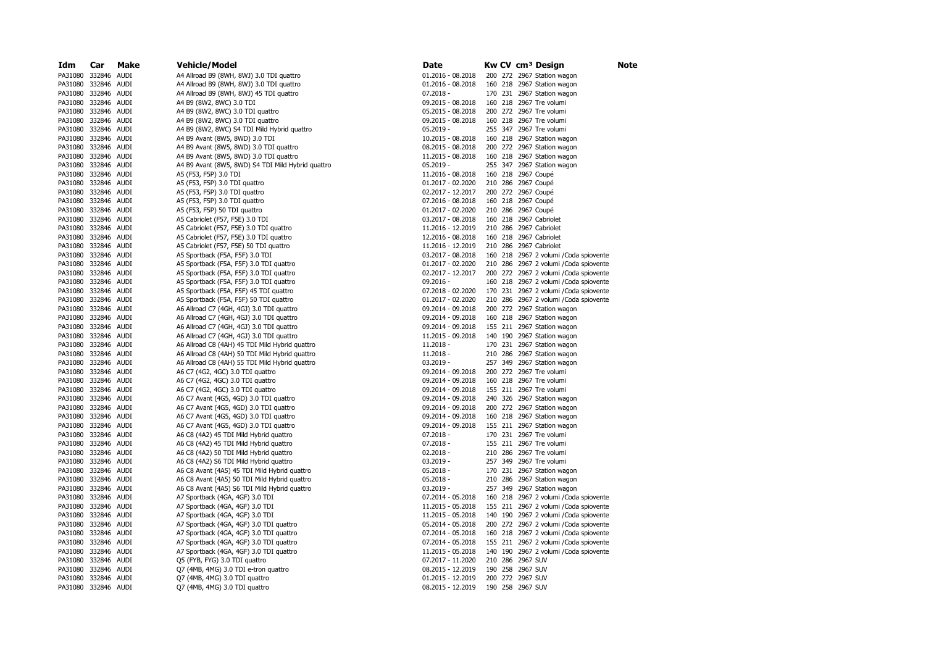| Idm                                        | Car         | Make | Vehicle/Model                                                                                    | Date                       |         |                  | Kw CV cm <sup>3</sup> Design                             | <b>Note</b> |
|--------------------------------------------|-------------|------|--------------------------------------------------------------------------------------------------|----------------------------|---------|------------------|----------------------------------------------------------|-------------|
| PA31080 332846 AUDI                        |             |      | A4 Allroad B9 (8WH, 8WJ) 3.0 TDI quattro                                                         | 01.2016 - 08.2018          |         |                  | 200 272 2967 Station wagon                               |             |
| PA31080                                    | 332846 AUDI |      | A4 Allroad B9 (8WH, 8WJ) 3.0 TDI quattro                                                         | 01.2016 - 08.2018          |         |                  | 160 218 2967 Station wagon                               |             |
| PA31080 332846 AUDI                        |             |      | A4 Allroad B9 (8WH, 8WJ) 45 TDI quattro                                                          | $07.2018 -$                |         |                  | 170 231 2967 Station wagon                               |             |
| PA31080                                    | 332846      | AUDI | A4 B9 (8W2, 8WC) 3.0 TDI                                                                         | 09.2015 - 08.2018          |         |                  | 160 218 2967 Tre volumi                                  |             |
| PA31080 332846 AUDI                        |             |      | A4 B9 (8W2, 8WC) 3.0 TDI quattro                                                                 | 05.2015 - 08.2018          |         |                  | 200 272 2967 Tre volumi                                  |             |
| PA31080 332846 AUDI                        |             |      | A4 B9 (8W2, 8WC) 3.0 TDI quattro                                                                 | 09.2015 - 08.2018          |         |                  | 160 218 2967 Tre volumi                                  |             |
| PA31080 332846 AUDI                        |             |      | A4 B9 (8W2, 8WC) S4 TDI Mild Hybrid quattro                                                      | $05.2019 -$                |         |                  | 255 347 2967 Tre volumi                                  |             |
| PA31080 332846 AUDI                        |             |      | A4 B9 Avant (8W5, 8WD) 3.0 TDI                                                                   | 10.2015 - 08.2018          |         |                  | 160 218 2967 Station wagon                               |             |
| PA31080 332846 AUDI                        |             |      | A4 B9 Avant (8W5, 8WD) 3.0 TDI quattro                                                           | 08.2015 - 08.2018          |         |                  | 200 272 2967 Station wagon                               |             |
| PA31080 332846 AUDI                        |             |      | A4 B9 Avant (8W5, 8WD) 3.0 TDI quattro                                                           | 11.2015 - 08.2018          |         |                  | 160 218 2967 Station wagon                               |             |
| PA31080 332846 AUDI                        |             |      | A4 B9 Avant (8W5, 8WD) S4 TDI Mild Hybrid quattro                                                | $05.2019 -$                |         |                  | 255 347 2967 Station wagon                               |             |
| PA31080 332846 AUDI                        |             |      | A5 (F53, F5P) 3.0 TDI                                                                            | 11.2016 - 08.2018          |         |                  | 160 218 2967 Coupé                                       |             |
| PA31080                                    | 332846 AUDI |      | A5 (F53, F5P) 3.0 TDI quattro                                                                    | 01.2017 - 02.2020          |         |                  | 210 286 2967 Coupé                                       |             |
| PA31080 332846 AUDI                        |             |      | A5 (F53, F5P) 3.0 TDI quattro                                                                    | 02.2017 - 12.2017          |         |                  | 200 272 2967 Coupé                                       |             |
| PA31080                                    | 332846 AUDI |      | A5 (F53, F5P) 3.0 TDI quattro                                                                    | 07.2016 - 08.2018          |         |                  | 160 218 2967 Coupé                                       |             |
| PA31080 332846 AUDI                        |             |      | A5 (F53, F5P) 50 TDI quattro                                                                     | 01.2017 - 02.2020          |         |                  | 210 286 2967 Coupé                                       |             |
| PA31080 332846 AUDI                        |             |      | A5 Cabriolet (F57, F5E) 3.0 TDI                                                                  | 03.2017 - 08.2018          |         |                  | 160 218 2967 Cabriolet                                   |             |
| PA31080 332846 AUDI                        |             |      | A5 Cabriolet (F57, F5E) 3.0 TDI quattro                                                          | 11.2016 - 12.2019          |         |                  | 210 286 2967 Cabriolet                                   |             |
| PA31080 332846 AUDI                        |             |      | A5 Cabriolet (F57, F5E) 3.0 TDI quattro                                                          | 12.2016 - 08.2018          |         |                  | 160 218 2967 Cabriolet                                   |             |
| PA31080 332846 AUDI                        |             |      | A5 Cabriolet (F57, F5E) 50 TDI quattro                                                           | 11.2016 - 12.2019          |         |                  | 210 286 2967 Cabriolet                                   |             |
| PA31080 332846 AUDI                        |             |      | A5 Sportback (F5A, F5F) 3.0 TDI                                                                  | 03.2017 - 08.2018          |         |                  | 160 218 2967 2 volumi / Coda spiovente                   |             |
| PA31080 332846 AUDI                        |             |      | A5 Sportback (F5A, F5F) 3.0 TDI quattro                                                          | 01.2017 - 02.2020          |         |                  | 210 286 2967 2 volumi / Coda spiovente                   |             |
| PA31080 332846 AUDI                        |             |      | A5 Sportback (F5A, F5F) 3.0 TDI quattro                                                          | 02.2017 - 12.2017          |         |                  | 200 272 2967 2 volumi / Coda spiovente                   |             |
| PA31080                                    | 332846 AUDI |      | A5 Sportback (F5A, F5F) 3.0 TDI quattro                                                          | 09.2016 -                  |         |                  | 160 218 2967 2 volumi / Coda spiovente                   |             |
| PA31080 332846 AUDI                        |             |      | A5 Sportback (F5A, F5F) 45 TDI quattro                                                           | 07.2018 - 02.2020          |         |                  | 170 231 2967 2 volumi / Coda spiovente                   |             |
| PA31080                                    | 332846 AUDI |      | A5 Sportback (F5A, F5F) 50 TDI quattro                                                           | 01.2017 - 02.2020          |         |                  | 210 286 2967 2 volumi / Coda spiovente                   |             |
| PA31080 332846 AUDI                        |             |      | A6 Allroad C7 (4GH, 4GJ) 3.0 TDI quattro                                                         | 09.2014 - 09.2018          |         |                  | 200 272 2967 Station wagon                               |             |
| PA31080                                    | 332846 AUDI |      | A6 Allroad C7 (4GH, 4GJ) 3.0 TDI quattro                                                         | 09.2014 - 09.2018          |         |                  | 160 218 2967 Station wagon                               |             |
| PA31080 332846 AUDI                        |             |      | A6 Allroad C7 (4GH, 4GJ) 3.0 TDI quattro                                                         | 09.2014 - 09.2018          |         |                  | 155 211 2967 Station wagon                               |             |
| PA31080                                    | 332846 AUDI |      | A6 Allroad C7 (4GH, 4GJ) 3.0 TDI quattro                                                         | 11.2015 - 09.2018          |         |                  | 140 190 2967 Station wagon                               |             |
| PA31080 332846 AUDI<br>PA31080 332846 AUDI |             |      | A6 Allroad C8 (4AH) 45 TDI Mild Hybrid quattro<br>A6 Allroad C8 (4AH) 50 TDI Mild Hybrid quattro | $11.2018 -$<br>$11.2018 -$ |         |                  | 170 231 2967 Station wagon<br>210 286 2967 Station wagon |             |
| PA31080 332846 AUDI                        |             |      | A6 Allroad C8 (4AH) 55 TDI Mild Hybrid quattro                                                   | $03.2019 -$                |         |                  | 257 349 2967 Station wagon                               |             |
| PA31080 332846 AUDI                        |             |      | A6 C7 (4G2, 4GC) 3.0 TDI quattro                                                                 | 09.2014 - 09.2018          |         |                  | 200 272 2967 Tre volumi                                  |             |
| PA31080 332846 AUDI                        |             |      | A6 C7 (4G2, 4GC) 3.0 TDI quattro                                                                 | 09.2014 - 09.2018          |         |                  | 160 218 2967 Tre volumi                                  |             |
| PA31080 332846 AUDI                        |             |      | A6 C7 (4G2, 4GC) 3.0 TDI quattro                                                                 | 09.2014 - 09.2018          |         |                  | 155 211 2967 Tre volumi                                  |             |
| PA31080 332846 AUDI                        |             |      | A6 C7 Avant (4G5, 4GD) 3.0 TDI quattro                                                           | 09.2014 - 09.2018          |         |                  | 240 326 2967 Station wagon                               |             |
| PA31080 332846 AUDI                        |             |      | A6 C7 Avant (4G5, 4GD) 3.0 TDI quattro                                                           | 09.2014 - 09.2018          |         |                  | 200 272 2967 Station wagon                               |             |
| PA31080                                    | 332846 AUDI |      | A6 C7 Avant (4G5, 4GD) 3.0 TDI quattro                                                           | 09.2014 - 09.2018          |         |                  | 160 218 2967 Station wagon                               |             |
| PA31080 332846 AUDI                        |             |      | A6 C7 Avant (4G5, 4GD) 3.0 TDI quattro                                                           | 09.2014 - 09.2018          |         |                  | 155 211 2967 Station wagon                               |             |
| PA31080                                    | 332846 AUDI |      | A6 C8 (4A2) 45 TDI Mild Hybrid quattro                                                           | $07.2018 -$                |         |                  | 170 231 2967 Tre volumi                                  |             |
| PA31080 332846 AUDI                        |             |      | A6 C8 (4A2) 45 TDI Mild Hybrid quattro                                                           | $07.2018 -$                |         |                  | 155 211 2967 Tre volumi                                  |             |
| PA31080                                    | 332846 AUDI |      | A6 C8 (4A2) 50 TDI Mild Hybrid quattro                                                           | $02.2018 -$                |         |                  | 210 286 2967 Tre volumi                                  |             |
| PA31080 332846 AUDI                        |             |      | A6 C8 (4A2) S6 TDI Mild Hybrid quattro                                                           | $03.2019 -$                |         |                  | 257 349 2967 Tre volumi                                  |             |
| PA31080 332846 AUDI                        |             |      | A6 C8 Avant (4A5) 45 TDI Mild Hybrid quattro                                                     | $05.2018 -$                |         |                  | 170 231 2967 Station wagon                               |             |
| PA31080 332846 AUDI                        |             |      | A6 C8 Avant (4A5) 50 TDI Mild Hybrid quattro                                                     | $05.2018 -$                |         |                  | 210 286 2967 Station wagon                               |             |
| PA31080 332846 AUDI                        |             |      | A6 C8 Avant (4A5) S6 TDI Mild Hybrid quattro                                                     | $03.2019 -$                |         |                  | 257 349 2967 Station wagon                               |             |
| PA31080 332846 AUDI                        |             |      | A7 Sportback (4GA, 4GF) 3.0 TDI                                                                  | 07.2014 - 05.2018          |         |                  | 160 218 2967 2 volumi / Coda spiovente                   |             |
| PA31080 332846 AUDI                        |             |      | A7 Sportback (4GA, 4GF) 3.0 TDI                                                                  | 11.2015 - 05.2018          |         |                  | 155 211 2967 2 volumi / Coda spiovente                   |             |
| PA31080 332846 AUDI                        |             |      | A7 Sportback (4GA, 4GF) 3.0 TDI                                                                  | 11.2015 - 05.2018          |         |                  | 140 190 2967 2 volumi / Coda spiovente                   |             |
| PA31080 332846 AUDI                        |             |      | A7 Sportback (4GA, 4GF) 3.0 TDI quattro                                                          | 05.2014 - 05.2018          |         |                  | 200 272 2967 2 volumi / Coda spiovente                   |             |
| PA31080                                    | 332846 AUDI |      | A7 Sportback (4GA, 4GF) 3.0 TDI quattro                                                          | 07.2014 - 05.2018          |         |                  | 160 218 2967 2 volumi / Coda spiovente                   |             |
| PA31080                                    | 332846 AUDI |      | A7 Sportback (4GA, 4GF) 3.0 TDI quattro                                                          | 07.2014 - 05.2018          |         |                  | 155 211 2967 2 volumi / Coda spiovente                   |             |
| PA31080                                    | 332846 AUDI |      | A7 Sportback (4GA, 4GF) 3.0 TDI quattro                                                          | 11.2015 - 05.2018          | 140 190 |                  | 2967 2 volumi / Coda spiovente                           |             |
| PA31080 332846 AUDI                        |             |      | Q5 (FYB, FYG) 3.0 TDI quattro                                                                    | 07.2017 - 11.2020          |         | 210 286 2967 SUV |                                                          |             |
| PA31080                                    | 332846 AUDI |      | Q7 (4MB, 4MG) 3.0 TDI e-tron quattro                                                             | 08.2015 - 12.2019          |         | 190 258 2967 SUV |                                                          |             |
| PA31080 332846 AUDI                        |             |      | Q7 (4MB, 4MG) 3.0 TDI quattro                                                                    | 01.2015 - 12.2019          |         | 200 272 2967 SUV |                                                          |             |
| PA31080                                    | 332846 AUDI |      | Q7 (4MB, 4MG) 3.0 TDI quattro                                                                    | 08.2015 - 12.2019          |         | 190 258 2967 SUV |                                                          |             |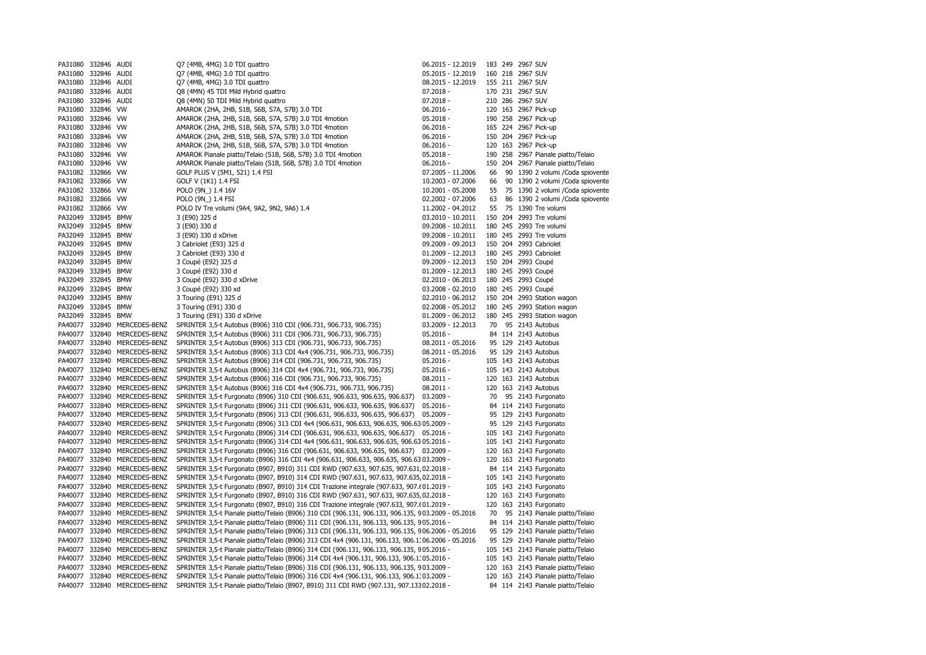| PA31080           | 332846 AUDI |                                                      | Q7 (4MB, 4MG) 3.0 TDI quattro                                                                       | 06.2015 - 12.2019                |     |         | 183 249 2967 SUV |                                    |
|-------------------|-------------|------------------------------------------------------|-----------------------------------------------------------------------------------------------------|----------------------------------|-----|---------|------------------|------------------------------------|
| PA31080           | 332846 AUDI |                                                      | Q7 (4MB, 4MG) 3.0 TDI quattro<br>05.2015 - 12.2019                                                  |                                  |     |         | 160 218 2967 SUV |                                    |
| PA31080           | 332846 AUDI |                                                      | 08.2015 - 12.2019<br>Q7 (4MB, 4MG) 3.0 TDI quattro                                                  |                                  |     |         | 155 211 2967 SUV |                                    |
| PA31080           | 332846 AUDI |                                                      | Q8 (4MN) 45 TDI Mild Hybrid quattro                                                                 | $07.2018 -$                      |     |         | 170 231 2967 SUV |                                    |
| PA31080           | 332846 AUDI |                                                      | Q8 (4MN) 50 TDI Mild Hybrid quattro                                                                 | $07.2018 -$                      |     |         | 210 286 2967 SUV |                                    |
| PA31080           | 332846 VW   |                                                      | AMAROK (2HA, 2HB, S1B, S6B, S7A, S7B) 3.0 TDI                                                       | $06.2016 -$                      |     |         |                  | 120 163 2967 Pick-up               |
| PA31080           | 332846 VW   |                                                      | AMAROK (2HA, 2HB, S1B, S6B, S7A, S7B) 3.0 TDI 4motion                                               | $05.2018 -$                      |     |         |                  | 190 258 2967 Pick-up               |
| PA31080           | 332846 VW   |                                                      | AMAROK (2HA, 2HB, S1B, S6B, S7A, S7B) 3.0 TDI 4motion                                               | $06.2016 -$                      |     |         |                  | 165 224 2967 Pick-up               |
| PA31080           | 332846 VW   |                                                      | AMAROK (2HA, 2HB, S1B, S6B, S7A, S7B) 3.0 TDI 4motion                                               | $06.2016 -$                      |     |         |                  | 150 204 2967 Pick-up               |
| PA31080           | 332846      | <b>VW</b>                                            | AMAROK (2HA, 2HB, S1B, S6B, S7A, S7B) 3.0 TDI 4motion                                               | $06.2016 -$                      |     |         |                  | 120 163 2967 Pick-up               |
| PA31080           | 332846 VW   |                                                      | AMAROK Pianale piatto/Telaio (S1B, S6B, S7B) 3.0 TDI 4motion                                        | $05.2018 -$                      |     |         |                  | 190 258 2967 Pianale piatto/Telaio |
| PA31080 332846 VW |             |                                                      | AMAROK Pianale piatto/Telaio (S1B, S6B, S7B) 3.0 TDI 4motion                                        | $06.2016 -$                      |     |         |                  | 150 204 2967 Pianale piatto/Telaio |
| PA31082 332866 VW |             |                                                      | GOLF PLUS V (5M1, 521) 1.4 FSI                                                                      | 07.2005 - 11.2006                | 66  |         |                  | 90 1390 2 volumi / Coda spiovente  |
| PA31082 332866 VW |             |                                                      | GOLF V (1K1) 1.4 FSI                                                                                | 10.2003 - 07.2006                | 66  |         |                  | 90 1390 2 volumi / Coda spiovente  |
| PA31082 332866 VW |             |                                                      | POLO (9N_) 1.4 16V                                                                                  | 10.2001 - 05.2008                | 55  |         |                  | 75 1390 2 volumi / Coda spiovente  |
| PA31082 332866 VW |             |                                                      | POLO (9N) 1.4 FSI                                                                                   | 02.2002 - 07.2006                | 63  |         |                  | 86 1390 2 volumi / Coda spiovente  |
| PA31082 332866    |             | <b>VW</b>                                            | POLO IV Tre volumi (9A4, 9A2, 9N2, 9A6) 1.4                                                         | 11.2002 - 04.2012                | 55  |         |                  | 75 1390 Tre volumi                 |
| PA32049           | 332845 BMW  |                                                      | 3 (E90) 325 d                                                                                       | 03.2010 - 10.2011                |     | 150 204 |                  | 2993 Tre volumi                    |
| PA32049           | 332845 BMW  |                                                      | 3 (E90) 330 d                                                                                       | 09.2008 - 10.2011                |     | 180 245 |                  | 2993 Tre volumi                    |
| PA32049           | 332845 BMW  |                                                      | 3 (E90) 330 d xDrive                                                                                | 09.2008 - 10.2011                |     |         |                  | 180 245 2993 Tre volumi            |
| PA32049           | 332845 BMW  |                                                      | 3 Cabriolet (E93) 325 d                                                                             | 09.2009 - 09.2013                |     | 150 204 |                  | 2993 Cabriolet                     |
| PA32049           | 332845 BMW  |                                                      | 3 Cabriolet (E93) 330 d                                                                             | 01.2009 - 12.2013                |     |         |                  | 180 245 2993 Cabriolet             |
| PA32049           | 332845 BMW  |                                                      | 3 Coupé (E92) 325 d                                                                                 | 09.2009 - 12.2013                |     | 150 204 |                  | 2993 Coupé                         |
| PA32049           | 332845 BMW  |                                                      | 3 Coupé (E92) 330 d                                                                                 | 01.2009 - 12.2013                |     |         |                  | 180 245 2993 Coupé                 |
| PA32049           | 332845 BMW  |                                                      | 3 Coupé (E92) 330 d xDrive                                                                          | 02.2010 - 06.2013                |     |         |                  | 180 245 2993 Coupé                 |
| PA32049           | 332845 BMW  |                                                      | 3 Coupé (E92) 330 xd                                                                                | 03.2008 - 02.2010                |     |         |                  | 180 245 2993 Coupé                 |
| PA32049           | 332845 BMW  |                                                      | 3 Touring (E91) 325 d                                                                               | 02.2010 - 06.2012                |     |         |                  | 150 204 2993 Station wagon         |
| PA32049           | 332845 BMW  |                                                      | 3 Touring (E91) 330 d                                                                               | 02.2008 - 05.2012                |     | 180 245 |                  | 2993 Station wagon                 |
| PA32049           | 332845 BMW  |                                                      | 3 Touring (E91) 330 d xDrive                                                                        | 01.2009 - 06.2012                |     |         |                  | 180 245 2993 Station wagon         |
| PA40077           |             | 332840 MERCEDES-BENZ                                 | SPRINTER 3,5-t Autobus (B906) 310 CDI (906.731, 906.733, 906.735)                                   | 03.2009 - 12.2013                | 70  |         |                  | 95 2143 Autobus                    |
| PA40077           |             | 332840 MERCEDES-BENZ                                 | SPRINTER 3,5-t Autobus (B906) 311 CDI (906.731, 906.733, 906.735)                                   | $05.2016 -$                      |     |         |                  | 84 114 2143 Autobus                |
| PA40077           |             | 332840 MERCEDES-BENZ                                 | SPRINTER 3,5-t Autobus (B906) 313 CDI (906.731, 906.733, 906.735)                                   | 08.2011 - 05.2016                |     |         |                  | 95 129 2143 Autobus                |
|                   |             |                                                      |                                                                                                     |                                  |     |         |                  |                                    |
| PA40077           |             | 332840 MERCEDES-BENZ<br>PA40077 332840 MERCEDES-BENZ | SPRINTER 3,5-t Autobus (B906) 313 CDI 4x4 (906.731, 906.733, 906.735)                               | 08.2011 - 05.2016<br>$05.2016 -$ |     |         |                  | 95 129 2143 Autobus                |
|                   |             |                                                      | SPRINTER 3,5-t Autobus (B906) 314 CDI (906.731, 906.733, 906.735)                                   |                                  |     |         |                  | 105 143 2143 Autobus               |
|                   |             | PA40077 332840 MERCEDES-BENZ                         | SPRINTER 3,5-t Autobus (B906) 314 CDI 4x4 (906.731, 906.733, 906.735)                               | $05.2016 -$                      |     |         |                  | 105 143 2143 Autobus               |
| PA40077           |             | 332840 MERCEDES-BENZ                                 | SPRINTER 3,5-t Autobus (B906) 316 CDI (906.731, 906.733, 906.735)                                   | $08.2011 -$                      |     |         |                  | 120 163 2143 Autobus               |
|                   |             | PA40077 332840 MERCEDES-BENZ                         | SPRINTER 3,5-t Autobus (B906) 316 CDI 4x4 (906.731, 906.733, 906.735)                               | $08.2011 -$                      |     |         |                  | 120 163 2143 Autobus               |
| PA40077           |             | 332840 MERCEDES-BENZ                                 | SPRINTER 3,5-t Furgonato (B906) 310 CDI (906.631, 906.633, 906.635, 906.637)                        | $03.2009 -$                      | 70  |         |                  | 95 2143 Furgonato                  |
|                   |             | PA40077 332840 MERCEDES-BENZ                         | SPRINTER 3,5-t Furgonato (B906) 311 CDI (906.631, 906.633, 906.635, 906.637)                        | $05.2016 -$                      |     |         |                  | 84 114 2143 Furgonato              |
| PA40077           |             | 332840 MERCEDES-BENZ                                 | SPRINTER 3,5-t Furgonato (B906) 313 CDI (906.631, 906.633, 906.635, 906.637)                        | $05.2009 -$                      |     |         |                  | 95 129 2143 Furgonato              |
| PA40077           |             | 332840 MERCEDES-BENZ                                 | SPRINTER 3,5-t Furgonato (B906) 313 CDI 4x4 (906.631, 906.633, 906.635, 906.63 05.2009 -            |                                  |     |         |                  | 95 129 2143 Furgonato              |
| PA40077           |             | 332840 MERCEDES-BENZ                                 | SPRINTER 3,5-t Furgonato (B906) 314 CDI (906.631, 906.633, 906.635, 906.637)                        | 05.2016 -                        |     |         |                  | 105 143 2143 Furgonato             |
| PA40077           |             | 332840 MERCEDES-BENZ                                 | SPRINTER 3,5-t Furgonato (B906) 314 CDI 4x4 (906.631, 906.633, 906.635, 906.63 05.2016 -            |                                  |     |         |                  | 105 143 2143 Furgonato             |
| PA40077           |             | 332840 MERCEDES-BENZ                                 | SPRINTER 3,5-t Furgonato (B906) 316 CDI (906.631, 906.633, 906.635, 906.637) 03.2009 -              |                                  |     |         |                  | 120 163 2143 Furgonato             |
|                   |             | PA40077 332840 MERCEDES-BENZ                         | SPRINTER 3,5-t Furgonato (B906) 316 CDI 4x4 (906.631, 906.633, 906.635, 906.63 03.2009 -            |                                  |     |         |                  | 120 163 2143 Furgonato             |
| PA40077           |             | 332840 MERCEDES-BENZ                                 | SPRINTER 3,5-t Furgonato (B907, B910) 311 CDI RWD (907.633, 907.635, 907.631 02.2018 -              |                                  |     |         |                  | 84 114 2143 Furgonato              |
| PA40077           |             | 332840 MERCEDES-BENZ                                 | SPRINTER 3,5-t Furgonato (B907, B910) 314 CDI RWD (907.631, 907.633, 907.635 02.2018 -              |                                  |     |         |                  | 105 143 2143 Furgonato             |
|                   |             | PA40077 332840 MERCEDES-BENZ                         | SPRINTER 3,5-t Furgonato (B907, B910) 314 CDI Trazione integrale (907.633, 907.(01.2019 -           |                                  |     |         |                  | 105 143 2143 Furgonato             |
| PA40077           |             | 332840 MERCEDES-BENZ                                 | SPRINTER 3,5-t Furgonato (B907, B910) 316 CDI RWD (907.631, 907.633, 907.635 02.2018 -              |                                  |     |         |                  | 120 163 2143 Furgonato             |
| PA40077           | 332840      | MERCEDES-BENZ                                        | SPRINTER 3,5-t Furgonato (B907, B910) 316 CDI Trazione integrale (907.633, 907.(01.2019 -           |                                  | 120 |         |                  | 163 2143 Furgonato                 |
| PA40077           |             | 332840 MERCEDES-BENZ                                 | SPRINTER 3,5-t Pianale piatto/Telaio (B906) 310 CDI (906.131, 906.133, 906.135, 903.2009 - 05.2016  |                                  | 70  |         |                  | 95 2143 Pianale piatto/Telaio      |
| PA40077           |             | 332840 MERCEDES-BENZ                                 | SPRINTER 3,5-t Pianale piatto/Telaio (B906) 311 CDI (906.131, 906.133, 906.135, 905.2016 -          |                                  |     |         |                  | 84 114 2143 Pianale piatto/Telaio  |
| PA40077           |             | 332840 MERCEDES-BENZ                                 | SPRINTER 3,5-t Pianale piatto/Telaio (B906) 313 CDI (906.131, 906.133, 906.135, 906.2006 - 05.2016  |                                  |     |         |                  | 95 129 2143 Pianale piatto/Telaio  |
| PA40077           |             | 332840 MERCEDES-BENZ                                 | SPRINTER 3,5-t Pianale piatto/Telaio (B906) 313 CDI 4x4 (906.131, 906.133, 906.13 06.2006 - 05.2016 |                                  |     |         |                  | 95 129 2143 Pianale piatto/Telaio  |
| PA40077           |             | 332840 MERCEDES-BENZ                                 | SPRINTER 3,5-t Pianale piatto/Telaio (B906) 314 CDI (906.131, 906.133, 906.135, 905.2016 -          |                                  |     |         |                  | 105 143 2143 Pianale piatto/Telaio |
| PA40077           |             | 332840 MERCEDES-BENZ                                 | SPRINTER 3,5-t Pianale piatto/Telaio (B906) 314 CDI 4x4 (906.131, 906.133, 906.1. 05.2016 -         |                                  |     |         |                  | 105 143 2143 Pianale piatto/Telaio |
| PA40077           |             | 332840 MERCEDES-BENZ                                 | SPRINTER 3,5-t Pianale piatto/Telaio (B906) 316 CDI (906.131, 906.133, 906.135, 903.2009 -          |                                  |     |         |                  | 120 163 2143 Pianale piatto/Telaio |
| PA40077           |             | 332840 MERCEDES-BENZ                                 | SPRINTER 3,5-t Pianale piatto/Telaio (B906) 316 CDI 4x4 (906.131, 906.133, 906.1. 03.2009 -         |                                  |     |         |                  | 120 163 2143 Pianale piatto/Telaio |
|                   |             | PA40077 332840 MERCEDES-BENZ                         | SPRINTER 3,5-t Pianale piatto/Telaio (B907, B910) 311 CDI RWD (907.131, 907.133 02.2018 -           |                                  |     |         |                  | 84 114 2143 Pianale piatto/Telaio  |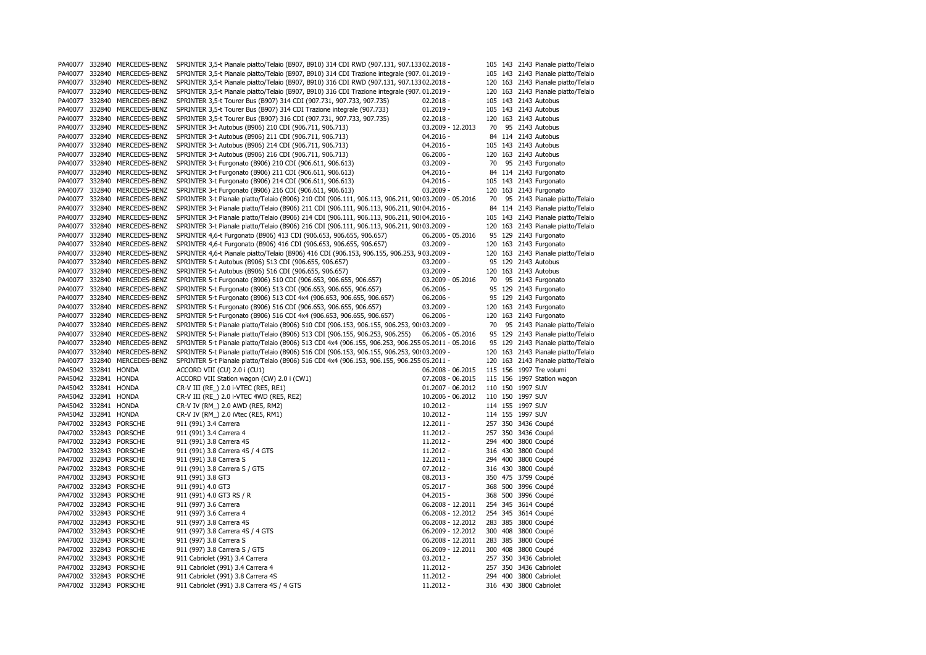| PA40077              | 332840 | MERCEDES-BENZ          | SPRINTER 3,5-t Pianale piatto/Telaio (B907, B910) 314 CDI RWD (907.131, 907.133 02.2018 -          |                     |         |     | 105 143 2143 Pianale piatto/Telaio |
|----------------------|--------|------------------------|----------------------------------------------------------------------------------------------------|---------------------|---------|-----|------------------------------------|
| PA40077              | 332840 | MERCEDES-BENZ          | SPRINTER 3,5-t Pianale piatto/Telaio (B907, B910) 314 CDI Trazione integrale (907.01.2019 -        |                     |         |     | 105 143 2143 Pianale piatto/Telaio |
| PA40077              | 332840 | MERCEDES-BENZ          | SPRINTER 3,5-t Pianale piatto/Telaio (B907, B910) 316 CDI RWD (907.131, 907.133 02.2018 -          |                     |         |     | 120 163 2143 Pianale piatto/Telaio |
| PA40077 332840       |        | MERCEDES-BENZ          | SPRINTER 3,5-t Pianale piatto/Telaio (B907, B910) 316 CDI Trazione integrale (907.01.2019 -        |                     |         |     | 120 163 2143 Pianale piatto/Telaio |
| PA40077 332840       |        | MERCEDES-BENZ          | SPRINTER 3,5-t Tourer Bus (B907) 314 CDI (907.731, 907.733, 907.735)                               | $02.2018 -$         |         |     | 105 143 2143 Autobus               |
| PA40077              | 332840 | MERCEDES-BENZ          | SPRINTER 3,5-t Tourer Bus (B907) 314 CDI Trazione integrale (907.733)                              | $01.2019 -$         |         |     | 105 143 2143 Autobus               |
| PA40077 332840       |        | MERCEDES-BENZ          | SPRINTER 3,5-t Tourer Bus (B907) 316 CDI (907.731, 907.733, 907.735)                               | $02.2018 -$         |         |     | 120 163 2143 Autobus               |
| PA40077 332840       |        | MERCEDES-BENZ          | SPRINTER 3-t Autobus (B906) 210 CDI (906.711, 906.713)                                             | 03.2009 - 12.2013   | 70      |     | 95 2143 Autobus                    |
| PA40077 332840       |        | MERCEDES-BENZ          | SPRINTER 3-t Autobus (B906) 211 CDI (906.711, 906.713)                                             | 04.2016 -           |         |     | 84 114 2143 Autobus                |
| PA40077 332840       |        | MERCEDES-BENZ          | SPRINTER 3-t Autobus (B906) 214 CDI (906.711, 906.713)                                             | $04.2016 -$         |         |     | 105 143 2143 Autobus               |
| PA40077 332840       |        | MERCEDES-BENZ          | SPRINTER 3-t Autobus (B906) 216 CDI (906.711, 906.713)                                             | $06.2006 -$         |         |     | 120 163 2143 Autobus               |
| PA40077 332840       |        | MERCEDES-BENZ          | SPRINTER 3-t Furgonato (B906) 210 CDI (906.611, 906.613)                                           | $03.2009 -$         | 70      |     | 95 2143 Furgonato                  |
| PA40077 332840       |        | MERCEDES-BENZ          | SPRINTER 3-t Furgonato (B906) 211 CDI (906.611, 906.613)                                           | $04.2016 -$         |         |     | 84 114 2143 Furgonato              |
| PA40077 332840       |        | MERCEDES-BENZ          | SPRINTER 3-t Furgonato (B906) 214 CDI (906.611, 906.613)                                           | $04.2016 -$         |         |     | 105 143 2143 Furgonato             |
| PA40077 332840       |        | MERCEDES-BENZ          | SPRINTER 3-t Furgonato (B906) 216 CDI (906.611, 906.613)                                           | $03.2009 -$         |         |     | 120 163 2143 Furgonato             |
| PA40077 332840       |        | MERCEDES-BENZ          | SPRINTER 3-t Pianale piatto/Telaio (B906) 210 CDI (906.111, 906.113, 906.211, 90 03.2009 - 05.2016 |                     | 70      |     | 95 2143 Pianale piatto/Telaio      |
| PA40077 332840       |        | MERCEDES-BENZ          | SPRINTER 3-t Pianale piatto/Telaio (B906) 211 CDI (906.111, 906.113, 906.211, 900 04.2016 -        |                     |         |     | 84 114 2143 Pianale piatto/Telaio  |
| PA40077 332840       |        | MERCEDES-BENZ          | SPRINTER 3-t Pianale piatto/Telaio (B906) 214 CDI (906.111, 906.113, 906.211, 900 04.2016 -        |                     |         |     | 105 143 2143 Pianale piatto/Telaio |
| PA40077 332840       |        | MERCEDES-BENZ          |                                                                                                    |                     |         |     | 120 163 2143 Pianale piatto/Telaio |
|                      |        |                        | SPRINTER 3-t Pianale piatto/Telaio (B906) 216 CDI (906.111, 906.113, 906.211, 900 03.2009 -        |                     |         |     |                                    |
| PA40077 332840       |        | MERCEDES-BENZ          | SPRINTER 4,6-t Furgonato (B906) 413 CDI (906.653, 906.655, 906.657)                                | 06.2006 - 05.2016   |         |     | 95 129 2143 Furgonato              |
| PA40077              | 332840 | MERCEDES-BENZ          | SPRINTER 4,6-t Furgonato (B906) 416 CDI (906.653, 906.655, 906.657)                                | $03.2009 -$         |         |     | 120 163 2143 Furgonato             |
| PA40077 332840       |        | MERCEDES-BENZ          | SPRINTER 4,6-t Pianale piatto/Telaio (B906) 416 CDI (906.153, 906.155, 906.253, 903.2009 -         |                     |         |     | 120 163 2143 Pianale piatto/Telaio |
| PA40077 332840       |        | MERCEDES-BENZ          | SPRINTER 5-t Autobus (B906) 513 CDI (906.655, 906.657)                                             | $03.2009 -$         |         |     | 95 129 2143 Autobus                |
| PA40077 332840       |        | MERCEDES-BENZ          | SPRINTER 5-t Autobus (B906) 516 CDI (906.655, 906.657)                                             | $03.2009 -$         |         |     | 120 163 2143 Autobus               |
| PA40077 332840       |        | MERCEDES-BENZ          | SPRINTER 5-t Furgonato (B906) 510 CDI (906.653, 906.655, 906.657)                                  | 03.2009 - 05.2016   | 70      |     | 95 2143 Furgonato                  |
| PA40077 332840       |        | MERCEDES-BENZ          | SPRINTER 5-t Furgonato (B906) 513 CDI (906.653, 906.655, 906.657)                                  | $06.2006 -$         |         |     | 95 129 2143 Furgonato              |
| PA40077 332840       |        | MERCEDES-BENZ          | SPRINTER 5-t Furgonato (B906) 513 CDI 4x4 (906.653, 906.655, 906.657)                              | $06.2006 -$         |         |     | 95 129 2143 Furgonato              |
| PA40077 332840       |        | MERCEDES-BENZ          | SPRINTER 5-t Furgonato (B906) 516 CDI (906.653, 906.655, 906.657)                                  | $03.2009 -$         |         |     | 120 163 2143 Furgonato             |
| PA40077 332840       |        | MERCEDES-BENZ          | SPRINTER 5-t Furgonato (B906) 516 CDI 4x4 (906.653, 906.655, 906.657)                              | $06.2006 -$         |         |     | 120 163 2143 Furgonato             |
| PA40077 332840       |        | MERCEDES-BENZ          | SPRINTER 5-t Pianale piatto/Telaio (B906) 510 CDI (906.153, 906.155, 906.253, 900 03.2009 -        |                     | 70      |     | 95 2143 Pianale piatto/Telaio      |
| PA40077 332840       |        | MERCEDES-BENZ          | SPRINTER 5-t Pianale piatto/Telaio (B906) 513 CDI (906.155, 906.253, 906.255)                      | 06.2006 - 05.2016   |         |     | 95 129 2143 Pianale piatto/Telaio  |
| PA40077 332840       |        | MERCEDES-BENZ          | SPRINTER 5-t Pianale piatto/Telaio (B906) 513 CDI 4x4 (906.155, 906.253, 906.255 05.2011 - 05.2016 |                     |         |     | 95 129 2143 Pianale piatto/Telaio  |
| PA40077 332840       |        | MERCEDES-BENZ          | SPRINTER 5-t Pianale piatto/Telaio (B906) 516 CDI (906.153, 906.155, 906.253, 900 03.2009 -        |                     |         |     | 120 163 2143 Pianale piatto/Telaio |
| PA40077 332840       |        | MERCEDES-BENZ          | SPRINTER 5-t Pianale piatto/Telaio (B906) 516 CDI 4x4 (906.153, 906.155, 906.255 05.2011 -         |                     |         |     | 120 163 2143 Pianale piatto/Telaio |
| PA45042 332841 HONDA |        |                        | ACCORD VIII (CU) 2.0 i (CU1)                                                                       | 06.2008 - 06.2015   |         |     | 115 156 1997 Tre volumi            |
| PA45042 332841 HONDA |        |                        | ACCORD VIII Station wagon (CW) 2.0 i (CW1)                                                         | 07.2008 - 06.2015   |         |     | 115 156 1997 Station wagon         |
| PA45042 332841 HONDA |        |                        | CR-V III (RE_) 2.0 i-VTEC (RE5, RE1)                                                               | $01.2007 - 06.2012$ |         |     | 110 150 1997 SUV                   |
| PA45042 332841 HONDA |        |                        | CR-V III (RE_) 2.0 i-VTEC 4WD (RE5, RE2)                                                           | 10.2006 - 06.2012   |         |     | 110 150 1997 SUV                   |
| PA45042 332841 HONDA |        |                        | CR-V IV (RM_) 2.0 AWD (RE5, RM2)                                                                   | $10.2012 -$         |         |     | 114 155 1997 SUV                   |
| PA45042 332841 HONDA |        |                        | CR-V IV (RM_) 2.0 iVtec (RE5, RM1)                                                                 | $10.2012 -$         |         |     | 114 155 1997 SUV                   |
|                      |        | PA47002 332843 PORSCHE | 911 (991) 3.4 Carrera                                                                              | 12.2011 -           |         |     | 257 350 3436 Coupé                 |
|                      |        | PA47002 332843 PORSCHE | 911 (991) 3.4 Carrera 4                                                                            | $11.2012 -$         |         |     | 257 350 3436 Coupé                 |
|                      |        | PA47002 332843 PORSCHE | 911 (991) 3.8 Carrera 4S                                                                           | 11.2012 -           |         |     | 294 400 3800 Coupé                 |
|                      |        | PA47002 332843 PORSCHE | 911 (991) 3.8 Carrera 4S / 4 GTS                                                                   | 11.2012 -           | 316 430 |     | 3800 Coupé                         |
|                      |        | PA47002 332843 PORSCHE | 911 (991) 3.8 Carrera S                                                                            | 12.2011 -           | 294 400 |     | 3800 Coupé                         |
|                      |        | PA47002 332843 PORSCHE | 911 (991) 3.8 Carrera S / GTS                                                                      | $07.2012 -$         |         |     | 316 430 3800 Coupé                 |
|                      |        | PA47002 332843 PORSCHE | 911 (991) 3.8 GT3                                                                                  | $08.2013 -$         |         |     | 350 475 3799 Coupé                 |
|                      |        | PA47002 332843 PORSCHE | 911 (991) 4.0 GT3                                                                                  | $05.2017 -$         | 368 500 |     | 3996 Coupé                         |
|                      |        | PA47002 332843 PORSCHE | 911 (991) 4.0 GT3 RS / R                                                                           | $04.2015 -$         | 368     | 500 | 3996 Coupé                         |
|                      |        | PA47002 332843 PORSCHE | 911 (997) 3.6 Carrera                                                                              | 06.2008 - 12.2011   | 254     | 345 | 3614 Coupé                         |
| PA47002              |        | 332843 PORSCHE         | 911 (997) 3.6 Carrera 4                                                                            | 06.2008 - 12.2012   | 254 345 |     | 3614 Coupé                         |
|                      |        | PA47002 332843 PORSCHE | 911 (997) 3.8 Carrera 4S                                                                           | 06.2008 - 12.2012   | 283     | 385 | 3800 Coupé                         |
|                      |        | PA47002 332843 PORSCHE | 911 (997) 3.8 Carrera 4S / 4 GTS                                                                   | 06.2009 - 12.2012   | 300     | 408 | 3800 Coupé                         |
|                      |        | PA47002 332843 PORSCHE | 911 (997) 3.8 Carrera S                                                                            | 06.2008 - 12.2011   | 283 385 |     | 3800 Coupé                         |
|                      |        | PA47002 332843 PORSCHE | 911 (997) 3.8 Carrera S / GTS                                                                      | 06.2009 - 12.2011   | 300     | 408 | 3800 Coupé                         |
|                      |        | PA47002 332843 PORSCHE | 911 Cabriolet (991) 3.4 Carrera                                                                    | $03.2012 -$         | 257 350 |     | 3436 Cabriolet                     |
|                      |        | PA47002 332843 PORSCHE | 911 Cabriolet (991) 3.4 Carrera 4                                                                  | 11.2012 -           |         |     | 257 350 3436 Cabriolet             |
|                      |        | PA47002 332843 PORSCHE | 911 Cabriolet (991) 3.8 Carrera 4S                                                                 | $11.2012 -$         |         |     | 294 400 3800 Cabriolet             |
|                      |        | PA47002 332843 PORSCHE | 911 Cabriolet (991) 3.8 Carrera 4S / 4 GTS                                                         | 11.2012 -           |         |     | 316 430 3800 Cabriolet             |
|                      |        |                        |                                                                                                    |                     |         |     |                                    |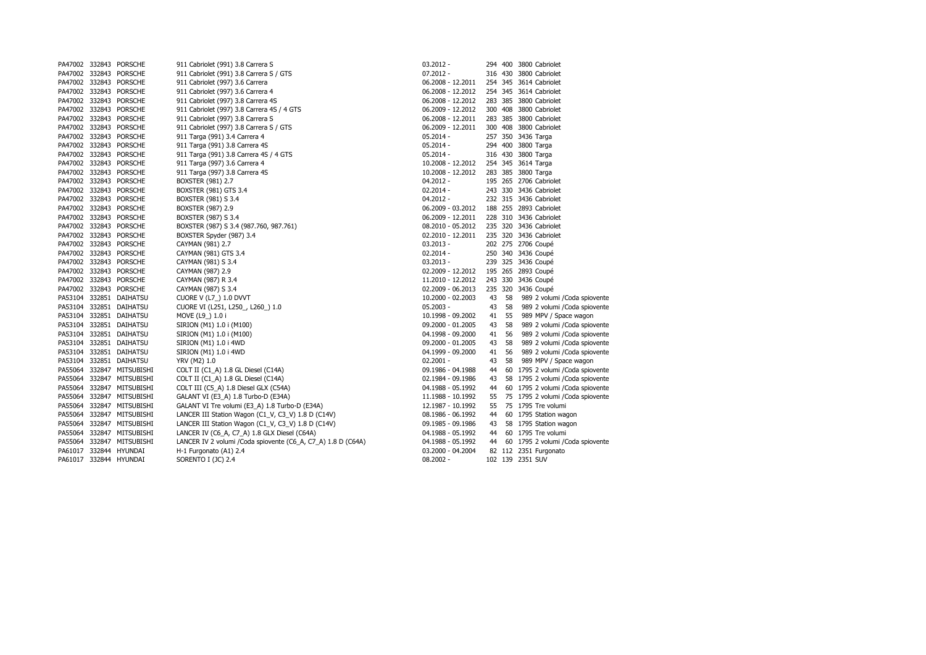|  | PA47002 332843 PORSCHE    | 911 Cabriolet (991) 3.8 Carrera S                             | $03.2012 -$       |    |    | 294 400 3800 Cabriolet            |
|--|---------------------------|---------------------------------------------------------------|-------------------|----|----|-----------------------------------|
|  | PA47002 332843 PORSCHE    | 911 Cabriolet (991) 3.8 Carrera S / GTS                       | $07.2012 -$       |    |    | 316 430 3800 Cabriolet            |
|  | PA47002 332843 PORSCHE    | 911 Cabriolet (997) 3.6 Carrera                               | 06.2008 - 12.2011 |    |    | 254 345 3614 Cabriolet            |
|  | PA47002 332843 PORSCHE    | 911 Cabriolet (997) 3.6 Carrera 4                             | 06.2008 - 12.2012 |    |    | 254 345 3614 Cabriolet            |
|  | PA47002 332843 PORSCHE    | 911 Cabriolet (997) 3.8 Carrera 4S                            | 06.2008 - 12.2012 |    |    | 283 385 3800 Cabriolet            |
|  | PA47002 332843 PORSCHE    | 911 Cabriolet (997) 3.8 Carrera 4S / 4 GTS                    | 06.2009 - 12.2012 |    |    | 300 408 3800 Cabriolet            |
|  | PA47002 332843 PORSCHE    | 911 Cabriolet (997) 3.8 Carrera S                             | 06.2008 - 12.2011 |    |    | 283 385 3800 Cabriolet            |
|  | PA47002 332843 PORSCHE    | 911 Cabriolet (997) 3.8 Carrera S / GTS                       | 06.2009 - 12.2011 |    |    | 300 408 3800 Cabriolet            |
|  | PA47002 332843 PORSCHE    | 911 Targa (991) 3.4 Carrera 4                                 | $05.2014 -$       |    |    | 257 350 3436 Targa                |
|  | PA47002 332843 PORSCHE    | 911 Targa (991) 3.8 Carrera 4S                                | $05.2014 -$       |    |    | 294 400 3800 Targa                |
|  | PA47002 332843 PORSCHE    | 911 Targa (991) 3.8 Carrera 4S / 4 GTS                        | 05.2014 -         |    |    | 316 430 3800 Targa                |
|  | PA47002 332843 PORSCHE    | 911 Targa (997) 3.6 Carrera 4                                 | 10.2008 - 12.2012 |    |    | 254 345 3614 Targa                |
|  | PA47002 332843 PORSCHE    | 911 Targa (997) 3.8 Carrera 4S                                | 10.2008 - 12.2012 |    |    | 283 385 3800 Targa                |
|  | PA47002 332843 PORSCHE    | BOXSTER (981) 2.7                                             | $04.2012 -$       |    |    | 195 265 2706 Cabriolet            |
|  | PA47002 332843 PORSCHE    | BOXSTER (981) GTS 3.4                                         | $02.2014 -$       |    |    | 243 330 3436 Cabriolet            |
|  | PA47002 332843 PORSCHE    | BOXSTER (981) S 3.4                                           | 04.2012 -         |    |    | 232 315 3436 Cabriolet            |
|  | PA47002 332843 PORSCHE    | BOXSTER (987) 2.9                                             | 06.2009 - 03.2012 |    |    | 188 255 2893 Cabriolet            |
|  | PA47002 332843 PORSCHE    | BOXSTER (987) S 3.4                                           | 06.2009 - 12.2011 |    |    | 228 310 3436 Cabriolet            |
|  | PA47002 332843 PORSCHE    | BOXSTER (987) S 3.4 (987.760, 987.761)                        | 08.2010 - 05.2012 |    |    | 235 320 3436 Cabriolet            |
|  | PA47002 332843 PORSCHE    | BOXSTER Spyder (987) 3.4                                      | 02.2010 - 12.2011 |    |    | 235 320 3436 Cabriolet            |
|  | PA47002 332843 PORSCHE    | CAYMAN (981) 2.7                                              | 03.2013 -         |    |    | 202 275 2706 Coupé                |
|  | PA47002 332843 PORSCHE    | CAYMAN (981) GTS 3.4                                          | $02.2014 -$       |    |    | 250 340 3436 Coupé                |
|  | PA47002 332843 PORSCHE    | CAYMAN (981) S 3.4                                            | $03.2013 -$       |    |    | 239 325 3436 Coupé                |
|  | PA47002 332843 PORSCHE    | CAYMAN (987) 2.9                                              | 02.2009 - 12.2012 |    |    | 195 265 2893 Coupé                |
|  | PA47002 332843 PORSCHE    | CAYMAN (987) R 3.4                                            | 11.2010 - 12.2012 |    |    | 243 330 3436 Coupé                |
|  | PA47002 332843 PORSCHE    | CAYMAN (987) S 3.4                                            | 02.2009 - 06.2013 |    |    | 235 320 3436 Coupé                |
|  | PA53104 332851 DAIHATSU   | CUORE V (L7_) 1.0 DVVT                                        | 10.2000 - 02.2003 | 43 | 58 | 989 2 volumi / Coda spiovente     |
|  | PA53104 332851 DAIHATSU   | CUORE VI (L251, L250_, L260_) 1.0                             | $05.2003 -$       | 43 | 58 | 989 2 volumi / Coda spiovente     |
|  | PA53104 332851 DAIHATSU   | MOVE (L9_) 1.0 i                                              | 10.1998 - 09.2002 | 41 | 55 | 989 MPV / Space wagon             |
|  | PA53104 332851 DAIHATSU   | SIRION (M1) 1.0 i (M100)                                      | 09.2000 - 01.2005 | 43 | 58 | 989 2 volumi / Coda spiovente     |
|  | PA53104 332851 DAIHATSU   | SIRION (M1) 1.0 i (M100)                                      | 04.1998 - 09.2000 | 41 | 56 | 989 2 volumi / Coda spiovente     |
|  | PA53104 332851 DAIHATSU   | SIRION (M1) 1.0 i 4WD                                         | 09.2000 - 01.2005 | 43 | 58 | 989 2 volumi / Coda spiovente     |
|  | PA53104 332851 DAIHATSU   | SIRION (M1) 1.0 i 4WD                                         | 04.1999 - 09.2000 | 41 | 56 | 989 2 volumi / Coda spiovente     |
|  | PA53104 332851 DAIHATSU   | <b>YRV (M2) 1.0</b>                                           | $02.2001 -$       | 43 | 58 | 989 MPV / Space wagon             |
|  | PA55064 332847 MITSUBISHI | COLT II (C1_A) 1.8 GL Diesel (C14A)                           | 09.1986 - 04.1988 | 44 |    | 60 1795 2 volumi / Coda spiovente |
|  | PA55064 332847 MITSUBISHI | COLT II (C1_A) 1.8 GL Diesel (C14A)                           | 02.1984 - 09.1986 | 43 |    | 58 1795 2 volumi / Coda spiovente |
|  | PA55064 332847 MITSUBISHI | COLT III (C5_A) 1.8 Diesel GLX (C54A)                         | 04.1988 - 05.1992 | 44 |    | 60 1795 2 volumi / Coda spiovente |
|  | PA55064 332847 MITSUBISHI | GALANT VI (E3_A) 1.8 Turbo-D (E34A)                           | 11.1988 - 10.1992 | 55 |    | 75 1795 2 volumi / Coda spiovente |
|  | PA55064 332847 MITSUBISHI | GALANT VI Tre volumi (E3_A) 1.8 Turbo-D (E34A)                | 12.1987 - 10.1992 | 55 |    | 75 1795 Tre volumi                |
|  | PA55064 332847 MITSUBISHI | LANCER III Station Wagon (C1_V, C3_V) 1.8 D (C14V)            | 08.1986 - 06.1992 | 44 |    | 60 1795 Station wagon             |
|  | PA55064 332847 MITSUBISHI | LANCER III Station Wagon (C1_V, C3_V) 1.8 D (C14V)            | 09.1985 - 09.1986 | 43 |    | 58 1795 Station wagon             |
|  | PA55064 332847 MITSUBISHI | LANCER IV (C6_A, C7_A) 1.8 GLX Diesel (C64A)                  | 04.1988 - 05.1992 | 44 |    | 60 1795 Tre volumi                |
|  | PA55064 332847 MITSUBISHI | LANCER IV 2 volumi / Coda spiovente (C6_A, C7_A) 1.8 D (C64A) | 04.1988 - 05.1992 | 44 |    | 60 1795 2 volumi / Coda spiovente |
|  | PA61017 332844 HYUNDAI    | H-1 Furgonato (A1) 2.4                                        | 03.2000 - 04.2004 |    |    | 82 112 2351 Furgonato             |
|  | PA61017 332844 HYUNDAI    | SORENTO I (JC) 2.4                                            | $08.2002 -$       |    |    | 102 139 2351 SUV                  |
|  |                           |                                                               |                   |    |    |                                   |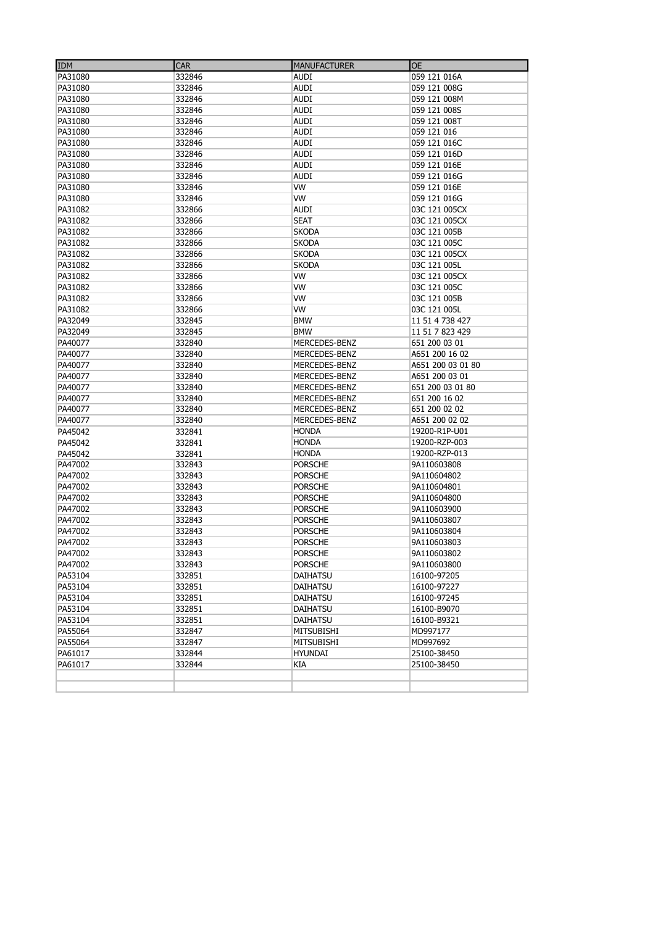| <b>IDM</b> | <b>CAR</b> | <b>MANUFACTURER</b> | <b>OE</b>         |
|------------|------------|---------------------|-------------------|
| PA31080    | 332846     | AUDI                | 059 121 016A      |
| PA31080    | 332846     | <b>AUDI</b>         | 059 121 008G      |
| PA31080    | 332846     | <b>AUDI</b>         | 059 121 008M      |
| PA31080    | 332846     | AUDI                | 059 121 008S      |
| PA31080    | 332846     | <b>AUDI</b>         | 059 121 008T      |
| PA31080    | 332846     | <b>AUDI</b>         | 059 121 016       |
| PA31080    | 332846     | <b>AUDI</b>         | 059 121 016C      |
| PA31080    | 332846     | AUDI                | 059 121 016D      |
| PA31080    | 332846     | AUDI                | 059 121 016E      |
| PA31080    | 332846     | AUDI                | 059 121 016G      |
| PA31080    | 332846     | VW                  | 059 121 016E      |
| PA31080    | 332846     | VW                  | 059 121 016G      |
| PA31082    | 332866     | <b>AUDI</b>         | 03C 121 005CX     |
| PA31082    | 332866     | <b>SEAT</b>         | 03C 121 005CX     |
| PA31082    | 332866     | <b>SKODA</b>        | 03C 121 005B      |
| PA31082    | 332866     | <b>SKODA</b>        | 03C 121 005C      |
| PA31082    | 332866     | <b>SKODA</b>        | 03C 121 005CX     |
| PA31082    | 332866     | <b>SKODA</b>        | 03C 121 005L      |
| PA31082    | 332866     | VW                  | 03C 121 005CX     |
| PA31082    | 332866     | VW                  | 03C 121 005C      |
| PA31082    | 332866     | <b>VW</b>           | 03C 121 005B      |
| PA31082    | 332866     | VW                  | 03C 121 005L      |
| PA32049    | 332845     | <b>BMW</b>          | 11 51 4 738 427   |
| PA32049    | 332845     | <b>BMW</b>          | 11 51 7 823 429   |
| PA40077    | 332840     | MERCEDES-BENZ       | 651 200 03 01     |
| PA40077    | 332840     | MERCEDES-BENZ       | A651 200 16 02    |
| PA40077    | 332840     | MERCEDES-BENZ       | A651 200 03 01 80 |
| PA40077    | 332840     | MERCEDES-BENZ       | A651 200 03 01    |
| PA40077    | 332840     | MERCEDES-BENZ       | 651 200 03 01 80  |
| PA40077    | 332840     | MERCEDES-BENZ       | 651 200 16 02     |
| PA40077    | 332840     | MERCEDES-BENZ       | 651 200 02 02     |
| PA40077    | 332840     | MERCEDES-BENZ       | A651 200 02 02    |
| PA45042    | 332841     | <b>HONDA</b>        | 19200-R1P-U01     |
| PA45042    | 332841     | <b>HONDA</b>        | 19200-RZP-003     |
| PA45042    | 332841     | <b>HONDA</b>        | 19200-RZP-013     |
| PA47002    | 332843     | <b>PORSCHE</b>      | 9A110603808       |
| PA47002    | 332843     | <b>PORSCHE</b>      | 9A110604802       |
| PA47002    | 332843     | <b>PORSCHE</b>      | 9A110604801       |
| PA47002    | 332843     | <b>PORSCHE</b>      | 9A110604800       |
| PA47002    | 332843     | <b>PORSCHE</b>      | 9A110603900       |
| PA47002    | 332843     | <b>PORSCHE</b>      | 9A110603807       |
| PA47002    | 332843     | <b>PORSCHE</b>      | 9A110603804       |
| PA47002    | 332843     | <b>PORSCHE</b>      | 9A110603803       |
| PA47002    | 332843     | PORSCHE             | 9A110603802       |
| PA47002    | 332843     | <b>PORSCHE</b>      | 9A110603800       |
| PA53104    | 332851     | DAIHATSU            | 16100-97205       |
| PA53104    | 332851     | DAIHATSU            | 16100-97227       |
| PA53104    | 332851     | DAIHATSU            | 16100-97245       |
| PA53104    | 332851     | DAIHATSU            | 16100-B9070       |
| PA53104    | 332851     | DAIHATSU            | 16100-B9321       |
| PA55064    | 332847     | MITSUBISHI          | MD997177          |
| PA55064    | 332847     | <b>MITSUBISHI</b>   | MD997692          |
| PA61017    | 332844     | <b>HYUNDAI</b>      | 25100-38450       |
| PA61017    | 332844     | КIА                 | 25100-38450       |
|            |            |                     |                   |
|            |            |                     |                   |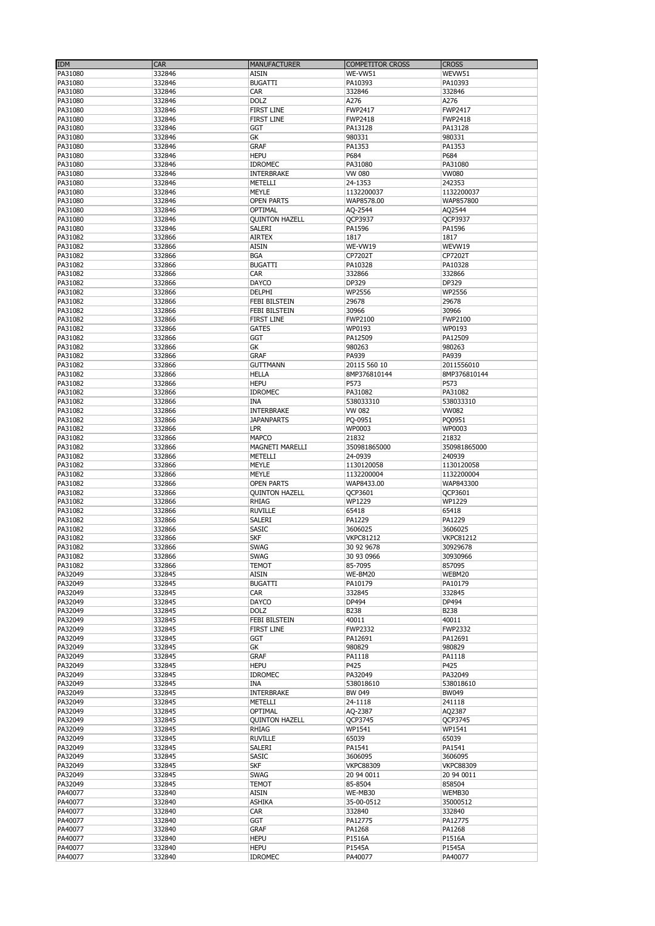| IDM     | <b>CAR</b> | <b>MANUFACTURER</b>   | <b>COMPETITOR CROSS</b> | <b>CROSS</b>     |
|---------|------------|-----------------------|-------------------------|------------------|
| PA31080 | 332846     | <b>AISIN</b>          | WE-VW51                 | WEVW51           |
| PA31080 | 332846     | <b>BUGATTI</b>        | PA10393                 | PA10393          |
| PA31080 | 332846     | CAR                   | 332846                  | 332846           |
| PA31080 | 332846     | <b>DOLZ</b>           | A276                    | A276             |
| PA31080 | 332846     | <b>FIRST LINE</b>     | FWP2417                 | FWP2417          |
| PA31080 | 332846     | <b>FIRST LINE</b>     | <b>FWP2418</b>          | FWP2418          |
| PA31080 | 332846     | GGT                   | PA13128                 | PA13128          |
| PA31080 | 332846     | GK                    | 980331                  | 980331           |
| PA31080 | 332846     | <b>GRAF</b>           | PA1353                  | PA1353           |
| PA31080 | 332846     | <b>HEPU</b>           | P684                    | P684             |
| PA31080 | 332846     | IDROMEC               | PA31080                 | PA31080          |
| PA31080 | 332846     | INTERBRAKE            | VW 080                  | <b>VW080</b>     |
|         |            |                       | 24-1353                 |                  |
| PA31080 | 332846     | METELLI               |                         | 242353           |
| PA31080 | 332846     | MEYLE                 | 1132200037              | 1132200037       |
| PA31080 | 332846     | <b>OPEN PARTS</b>     | WAP8578.00              | WAP857800        |
| PA31080 | 332846     | OPTIMAL               | AQ-2544                 | AQ2544           |
| PA31080 | 332846     | <b>QUINTON HAZELL</b> | <b>QCP3937</b>          | QCP3937          |
| PA31080 | 332846     | SALERI                | PA1596                  | PA1596           |
| PA31082 | 332866     | <b>AIRTEX</b>         | 1817                    | 1817             |
| PA31082 | 332866     | <b>AISIN</b>          | WE-VW19                 | WEVW19           |
| PA31082 | 332866     | <b>BGA</b>            | CP7202T                 | CP7202T          |
| PA31082 | 332866     | <b>BUGATTI</b>        | PA10328                 | PA10328          |
| PA31082 | 332866     | CAR                   | 332866                  | 332866           |
| PA31082 | 332866     | DAYCO                 | DP329                   | DP329            |
| PA31082 | 332866     | DELPHI                | WP2556                  | WP2556           |
| PA31082 | 332866     | FEBI BILSTEIN         | 29678                   | 29678            |
|         |            |                       |                         |                  |
| PA31082 | 332866     | <b>FEBI BILSTEIN</b>  | 30966                   | 30966            |
| PA31082 | 332866     | <b>FIRST LINE</b>     | FWP2100                 | FWP2100          |
| PA31082 | 332866     | <b>GATES</b>          | WP0193                  | WP0193           |
| PA31082 | 332866     | GGT                   | PA12509                 | PA12509          |
| PA31082 | 332866     | GK                    | 980263                  | 980263           |
| PA31082 | 332866     | <b>GRAF</b>           | PA939                   | PA939            |
| PA31082 | 332866     | <b>GUTTMANN</b>       | 20115 560 10            | 2011556010       |
| PA31082 | 332866     | <b>HELLA</b>          | 8MP376810144            | 8MP376810144     |
| PA31082 | 332866     | <b>HEPU</b>           | P573                    | P573             |
|         |            |                       |                         |                  |
| PA31082 | 332866     | <b>IDROMEC</b>        | PA31082                 | PA31082          |
| PA31082 | 332866     | <b>INA</b>            | 538033310               | 538033310        |
| PA31082 | 332866     | INTERBRAKE            | VW 082                  | VW082            |
| PA31082 | 332866     | <b>JAPANPARTS</b>     | PQ-0951                 | PQ0951           |
| PA31082 | 332866     | <b>LPR</b>            | WP0003                  | WP0003           |
| PA31082 | 332866     | <b>MAPCO</b>          | 21832                   | 21832            |
| PA31082 | 332866     | MAGNETI MARELLI       | 350981865000            | 350981865000     |
| PA31082 | 332866     | METELLI               | 24-0939                 | 240939           |
| PA31082 | 332866     | MEYLE                 | 1130120058              | 1130120058       |
| PA31082 |            | MEYLE                 | 1132200004              | 1132200004       |
|         | 332866     |                       |                         |                  |
| PA31082 | 332866     | <b>OPEN PARTS</b>     | WAP8433.00              | WAP843300        |
| PA31082 | 332866     | <b>QUINTON HAZELL</b> | QCP3601                 | QCP3601          |
| PA31082 | 332866     | RHIAG                 | WP1229                  | WP1229           |
| PA31082 | 332866     | <b>RUVILLE</b>        | 65418                   | 65418            |
| PA31082 | 332866     | SALERI                | PA1229                  | PA1229           |
| PA31082 | 332866     | SASIC                 | 3606025                 | 3606025          |
| PA31082 | 332866     | <b>SKF</b>            | <b>VKPC81212</b>        | <b>VKPC81212</b> |
| PA31082 | 332866     | <b>SWAG</b>           | 30 92 9678              | 30929678         |
| PA31082 | 332866     | <b>SWAG</b>           | 30 93 0966              | 30930966         |
| PA31082 | 332866     | <b>TEMOT</b>          | 85-7095                 | 857095           |
|         |            |                       |                         |                  |
| PA32049 | 332845     | <b>AISIN</b>          | WE-BM20                 | WEBM20           |
| PA32049 | 332845     | <b>BUGATTI</b>        | PA10179                 | PA10179          |
| PA32049 | 332845     | CAR                   | 332845                  | 332845           |
| PA32049 | 332845     | DAYCO                 | DP494                   | DP494            |
| PA32049 | 332845     | <b>DOLZ</b>           | B238                    | B238             |
| PA32049 | 332845     | FEBI BILSTEIN         | 40011                   | 40011            |
| PA32049 | 332845     | <b>FIRST LINE</b>     | <b>FWP2332</b>          | FWP2332          |
| PA32049 | 332845     | GGT                   | PA12691                 | PA12691          |
| PA32049 | 332845     | GК                    | 980829                  | 980829           |
| PA32049 | 332845     | <b>GRAF</b>           | PA1118                  | PA1118           |
| PA32049 | 332845     | <b>HEPU</b>           | P425                    | P425             |
| PA32049 |            | <b>IDROMEC</b>        |                         |                  |
|         | 332845     |                       | PA32049                 | PA32049          |
| PA32049 | 332845     | INA                   | 538018610               | 538018610        |
| PA32049 | 332845     | INTERBRAKE            | BW 049                  | BW049            |
| PA32049 | 332845     | METELLI               | 24-1118                 | 241118           |
| PA32049 | 332845     | OPTIMAL               | AQ-2387                 | AQ2387           |
| PA32049 | 332845     | <b>QUINTON HAZELL</b> | QCP3745                 | <b>QCP3745</b>   |
| PA32049 | 332845     | RHIAG                 | WP1541                  | WP1541           |
| PA32049 | 332845     | <b>RUVILLE</b>        | 65039                   | 65039            |
| PA32049 | 332845     | SALERI                | PA1541                  | PA1541           |
| PA32049 | 332845     | <b>SASIC</b>          | 3606095                 | 3606095          |
|         |            |                       |                         |                  |
| PA32049 | 332845     | <b>SKF</b>            | <b>VKPC88309</b>        | <b>VKPC88309</b> |
| PA32049 | 332845     | <b>SWAG</b>           | 20 94 0011              | 20 94 0011       |
| PA32049 | 332845     | <b>TEMOT</b>          | 85-8504                 | 858504           |
| PA40077 | 332840     | AISIN                 | WE-MB30                 | WEMB30           |
| PA40077 | 332840     | <b>ASHIKA</b>         | 35-00-0512              | 35000512         |
| PA40077 | 332840     | <b>CAR</b>            | 332840                  | 332840           |
| PA40077 | 332840     | GGT                   | PA12775                 | PA12775          |
| PA40077 | 332840     | <b>GRAF</b>           | PA1268                  | PA1268           |
| PA40077 | 332840     | <b>HEPU</b>           | P1516A                  | P1516A           |
|         |            |                       |                         |                  |
| PA40077 | 332840     | <b>HEPU</b>           | P1545A                  | P1545A           |
| PA40077 | 332840     | <b>IDROMEC</b>        | PA40077                 | PA40077          |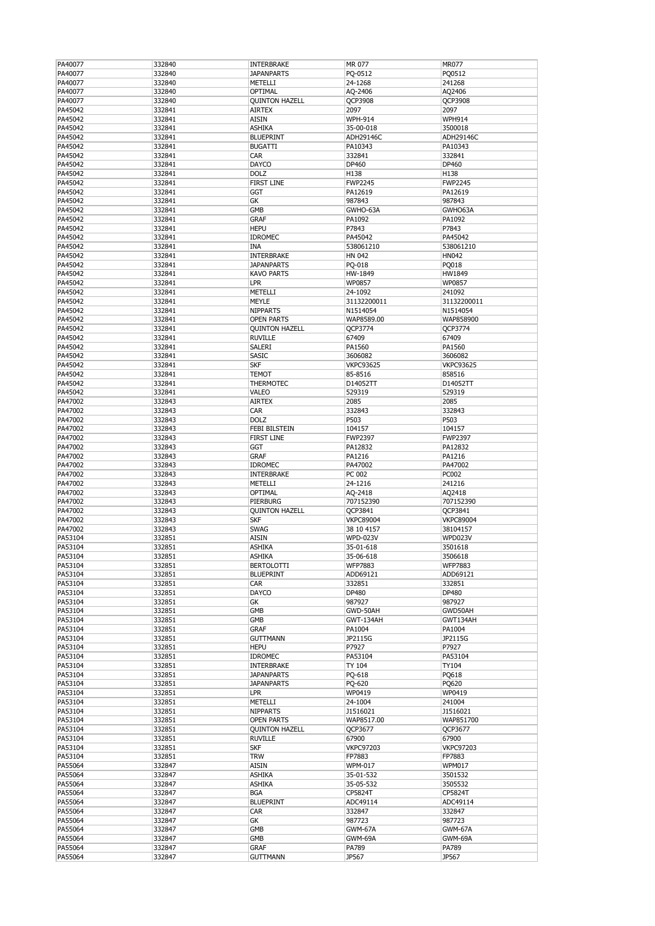| PA40077 | 332840 | INTERBRAKE            | MR 077           | <b>MR077</b>     |
|---------|--------|-----------------------|------------------|------------------|
| PA40077 | 332840 | <b>JAPANPARTS</b>     | PQ-0512          | PQ0512           |
|         |        |                       |                  |                  |
| PA40077 | 332840 | METELLI               | 24-1268          | 241268           |
| PA40077 | 332840 | OPTIMAL               | AQ-2406          | AQ2406           |
| PA40077 | 332840 | <b>QUINTON HAZELL</b> | QCP3908          | QCP3908          |
| PA45042 | 332841 | <b>AIRTEX</b>         | 2097             | 2097             |
|         |        |                       |                  |                  |
| PA45042 | 332841 | AISIN                 | <b>WPH-914</b>   | <b>WPH914</b>    |
| PA45042 | 332841 | <b>ASHIKA</b>         | 35-00-018        | 3500018          |
| PA45042 | 332841 | <b>BLUEPRINT</b>      | ADH29146C        | ADH29146C        |
| PA45042 | 332841 | <b>BUGATTI</b>        | PA10343          | PA10343          |
|         |        |                       |                  |                  |
| PA45042 | 332841 | CAR                   | 332841           | 332841           |
| PA45042 | 332841 | <b>DAYCO</b>          | DP460            | DP460            |
| PA45042 | 332841 | <b>DOLZ</b>           | H138             | H138             |
| PA45042 | 332841 | <b>FIRST LINE</b>     | <b>FWP2245</b>   | <b>FWP2245</b>   |
|         |        |                       |                  |                  |
| PA45042 | 332841 | GGT                   | PA12619          | PA12619          |
| PA45042 | 332841 | GK                    | 987843           | 987843           |
| PA45042 | 332841 | GMB                   | GWHO-63A         | GWHO63A          |
| PA45042 | 332841 | <b>GRAF</b>           | PA1092           | PA1092           |
|         |        |                       |                  |                  |
| PA45042 | 332841 | <b>HEPU</b>           | P7843            | P7843            |
| PA45042 | 332841 | <b>IDROMEC</b>        | PA45042          | PA45042          |
| PA45042 | 332841 | INA                   | 538061210        | 538061210        |
|         |        |                       |                  |                  |
| PA45042 | 332841 | INTERBRAKE            | HN 042           | HN042            |
| PA45042 | 332841 | <b>JAPANPARTS</b>     | PQ-018           | PQ018            |
| PA45042 | 332841 | <b>KAVO PARTS</b>     | HW-1849          | HW1849           |
| PA45042 | 332841 | LPR                   | WP0857           | WP0857           |
|         |        |                       |                  |                  |
| PA45042 | 332841 | METELLI               | 24-1092          | 241092           |
| PA45042 | 332841 | <b>MEYLE</b>          | 31132200011      | 31132200011      |
| PA45042 | 332841 | <b>NIPPARTS</b>       | N1514054         | N1514054         |
| PA45042 | 332841 | <b>OPEN PARTS</b>     | WAP8589.00       | WAP858900        |
|         |        |                       |                  |                  |
| PA45042 | 332841 | <b>QUINTON HAZELL</b> | QCP3774          | QCP3774          |
| PA45042 | 332841 | <b>RUVILLE</b>        | 67409            | 67409            |
| PA45042 | 332841 | SALERI                | PA1560           | PA1560           |
| PA45042 | 332841 | <b>SASIC</b>          |                  | 3606082          |
|         |        |                       | 3606082          |                  |
| PA45042 | 332841 | <b>SKF</b>            | <b>VKPC93625</b> | <b>VKPC93625</b> |
| PA45042 | 332841 | <b>TEMOT</b>          | 85-8516          | 858516           |
| PA45042 | 332841 | THERMOTEC             | D14052TT         | D14052TT         |
|         |        |                       |                  |                  |
| PA45042 | 332841 | VALEO                 | 529319           | 529319           |
| PA47002 | 332843 | AIRTEX                | 2085             | 2085             |
| PA47002 | 332843 | CAR                   | 332843           | 332843           |
| PA47002 | 332843 | <b>DOLZ</b>           | P503             | P503             |
|         |        |                       |                  |                  |
| PA47002 | 332843 | <b>FEBI BILSTEIN</b>  | 104157           | 104157           |
| PA47002 | 332843 | FIRST LINE            | <b>FWP2397</b>   | <b>FWP2397</b>   |
| PA47002 | 332843 | GGT                   | PA12832          | PA12832          |
|         |        |                       |                  |                  |
| PA47002 | 332843 | <b>GRAF</b>           | PA1216           | PA1216           |
| PA47002 | 332843 | <b>IDROMEC</b>        | PA47002          | PA47002          |
| PA47002 | 332843 | <b>INTERBRAKE</b>     | PC 002           | <b>PC002</b>     |
| PA47002 | 332843 | METELLI               | 24-1216          | 241216           |
|         |        |                       |                  |                  |
| PA47002 | 332843 | OPTIMAL               | AQ-2418          | AQ2418           |
| PA47002 | 332843 | PIERBURG              | 707152390        | 707152390        |
| PA47002 | 332843 | <b>OUINTON HAZELL</b> | QCP3841          | QCP3841          |
| PA47002 | 332843 | <b>SKF</b>            | <b>VKPC89004</b> | <b>VKPC89004</b> |
|         |        |                       |                  |                  |
| PA47002 | 332843 | <b>SWAG</b>           | 38 10 4157       | 38104157         |
| PA53104 | 332851 | AISIN                 | <b>WPD-023V</b>  | WPD023V          |
| PA53104 | 332851 | ASHIKA                | 35-01-618        | 3501618          |
|         |        |                       |                  |                  |
| PA53104 | 332851 | ASHIKA                | 35-06-618        | 3506618          |
| PA53104 | 332851 | <b>BERTOLOTTI</b>     | <b>WFP7883</b>   | <b>WFP7883</b>   |
| PA53104 | 332851 | <b>BLUEPRINT</b>      | ADD69121         | ADD69121         |
| PA53104 | 332851 | CAR                   | 332851           | 332851           |
| PA53104 |        | DAYCO                 | DP480            | DP480            |
|         | 332851 |                       |                  |                  |
| PA53104 | 332851 | GК                    | 987927           | 987927           |
| PA53104 | 332851 | GMB                   | GWD-50AH         | GWD50AH          |
| PA53104 | 332851 | GMB                   | GWT-134AH        | GWT134AH         |
| PA53104 | 332851 | <b>GRAF</b>           | PA1004           | PA1004           |
|         |        |                       |                  |                  |
| PA53104 | 332851 | <b>GUTTMANN</b>       | JP2115G          | JP2115G          |
| PA53104 | 332851 | <b>HEPU</b>           | P7927            | P7927            |
| PA53104 | 332851 | <b>IDROMEC</b>        | PA53104          | PA53104          |
| PA53104 | 332851 | <b>INTERBRAKE</b>     | TY 104           | TY104            |
|         |        |                       |                  |                  |
| PA53104 | 332851 | <b>JAPANPARTS</b>     | PQ-618           | PQ618            |
| PA53104 | 332851 | <b>JAPANPARTS</b>     | PQ-620           | PQ620            |
| PA53104 | 332851 | LPR                   | WP0419           | WP0419           |
| PA53104 | 332851 | METELLI               | 24-1004          | 241004           |
|         |        |                       |                  |                  |
| PA53104 | 332851 | <b>NIPPARTS</b>       | J1516021         | J1516021         |
| PA53104 | 332851 | <b>OPEN PARTS</b>     | WAP8517.00       | WAP851700        |
| PA53104 | 332851 | <b>QUINTON HAZELL</b> | QCP3677          | QCP3677          |
| PA53104 | 332851 | <b>RUVILLE</b>        | 67900            | 67900            |
|         |        |                       |                  |                  |
| PA53104 | 332851 | <b>SKF</b>            | <b>VKPC97203</b> | <b>VKPC97203</b> |
| PA53104 | 332851 | TRW                   | FP7883           | FP7883           |
| PA55064 | 332847 | <b>AISIN</b>          | WPM-017          | <b>WPM017</b>    |
|         |        |                       |                  |                  |
| PA55064 | 332847 | <b>ASHIKA</b>         | 35-01-532        | 3501532          |
| PA55064 | 332847 | <b>ASHIKA</b>         | 35-05-532        | 3505532          |
| PA55064 | 332847 | <b>BGA</b>            | CP5824T          | CP5824T          |
| PA55064 | 332847 | <b>BLUEPRINT</b>      | ADC49114         | ADC49114         |
|         |        |                       |                  |                  |
| PA55064 | 332847 | CAR                   | 332847           | 332847           |
| PA55064 | 332847 | GК                    | 987723           | 987723           |
| PA55064 | 332847 | GMB                   | GWM-67A          | GWM-67A          |
| PA55064 | 332847 | GMB                   | GWM-69A          | GWM-69A          |
|         |        |                       |                  |                  |
| PA55064 | 332847 | <b>GRAF</b>           | PA789            | PA789            |
| PA55064 | 332847 | <b>GUTTMANN</b>       | JP567            | JP567            |
|         |        |                       |                  |                  |